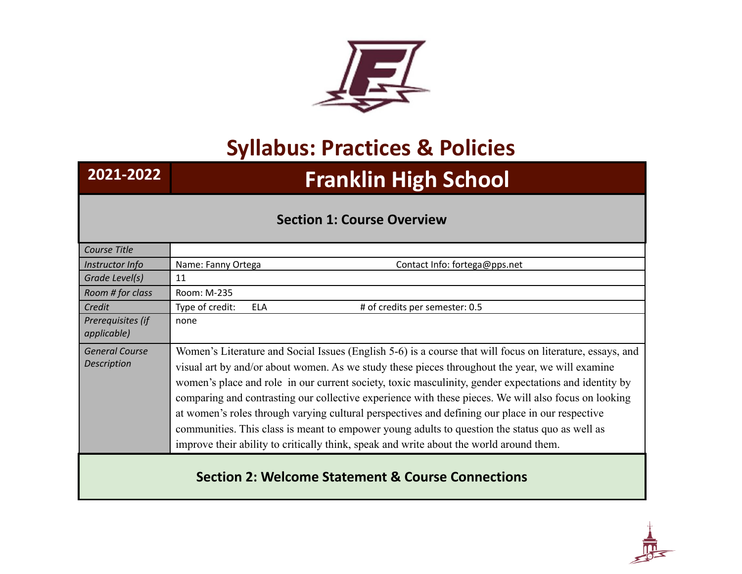

## **Syllabus: Practices & Policies**

# **2021-2022 Franklin High School**

### **Section 1: Course Overview**

| Course Title                                |                                                                                                                                                                                                                                                                                                                                                                                                                                                                                                                                                                                                                                                                                                                               |
|---------------------------------------------|-------------------------------------------------------------------------------------------------------------------------------------------------------------------------------------------------------------------------------------------------------------------------------------------------------------------------------------------------------------------------------------------------------------------------------------------------------------------------------------------------------------------------------------------------------------------------------------------------------------------------------------------------------------------------------------------------------------------------------|
| Instructor Info                             | Name: Fanny Ortega<br>Contact Info: fortega@pps.net                                                                                                                                                                                                                                                                                                                                                                                                                                                                                                                                                                                                                                                                           |
| Grade Level(s)                              | 11                                                                                                                                                                                                                                                                                                                                                                                                                                                                                                                                                                                                                                                                                                                            |
| Room # for class                            | Room: M-235                                                                                                                                                                                                                                                                                                                                                                                                                                                                                                                                                                                                                                                                                                                   |
| Credit                                      | Type of credit:<br># of credits per semester: 0.5<br><b>ELA</b>                                                                                                                                                                                                                                                                                                                                                                                                                                                                                                                                                                                                                                                               |
| Prerequisites (if<br>applicable)            | none                                                                                                                                                                                                                                                                                                                                                                                                                                                                                                                                                                                                                                                                                                                          |
| <b>General Course</b><br><b>Description</b> | Women's Literature and Social Issues (English 5-6) is a course that will focus on literature, essays, and<br>visual art by and/or about women. As we study these pieces throughout the year, we will examine<br>women's place and role in our current society, toxic masculinity, gender expectations and identity by<br>comparing and contrasting our collective experience with these pieces. We will also focus on looking<br>at women's roles through varying cultural perspectives and defining our place in our respective<br>communities. This class is meant to empower young adults to question the status quo as well as<br>improve their ability to critically think, speak and write about the world around them. |
|                                             |                                                                                                                                                                                                                                                                                                                                                                                                                                                                                                                                                                                                                                                                                                                               |

## **Section 2: Welcome Statement & Course Connections**

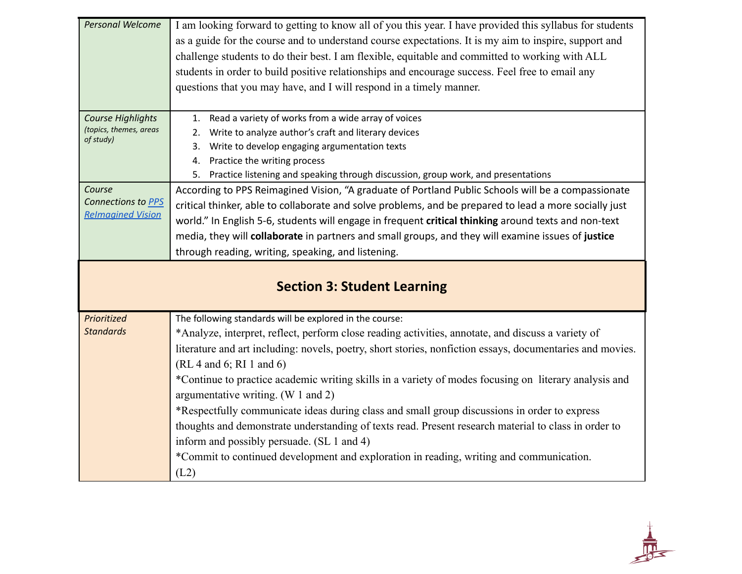| Personal Welcome                    | I am looking forward to getting to know all of you this year. I have provided this syllabus for students<br>as a guide for the course and to understand course expectations. It is my aim to inspire, support and |
|-------------------------------------|-------------------------------------------------------------------------------------------------------------------------------------------------------------------------------------------------------------------|
|                                     | challenge students to do their best. I am flexible, equitable and committed to working with ALL                                                                                                                   |
|                                     | students in order to build positive relationships and encourage success. Feel free to email any                                                                                                                   |
|                                     | questions that you may have, and I will respond in a timely manner.                                                                                                                                               |
|                                     |                                                                                                                                                                                                                   |
| Course Highlights                   | Read a variety of works from a wide array of voices<br>1.                                                                                                                                                         |
| (topics, themes, areas<br>of study) | Write to analyze author's craft and literary devices<br>2.                                                                                                                                                        |
|                                     | Write to develop engaging argumentation texts<br>3.                                                                                                                                                               |
|                                     | Practice the writing process<br>4.                                                                                                                                                                                |
|                                     | 5. Practice listening and speaking through discussion, group work, and presentations                                                                                                                              |
| Course                              | According to PPS Reimagined Vision, "A graduate of Portland Public Schools will be a compassionate                                                                                                                |
| Connections to PPS                  | critical thinker, able to collaborate and solve problems, and be prepared to lead a more socially just                                                                                                            |
| <b>Relmagined Vision</b>            | world." In English 5-6, students will engage in frequent critical thinking around texts and non-text                                                                                                              |
|                                     | media, they will collaborate in partners and small groups, and they will examine issues of justice                                                                                                                |
|                                     | through reading, writing, speaking, and listening.                                                                                                                                                                |
|                                     |                                                                                                                                                                                                                   |
|                                     |                                                                                                                                                                                                                   |
|                                     | <b>Section 3: Student Learning</b>                                                                                                                                                                                |
|                                     |                                                                                                                                                                                                                   |
| Prioritized                         | The following standards will be explored in the course:                                                                                                                                                           |
| <b>Standards</b>                    | *Analyze, interpret, reflect, perform close reading activities, annotate, and discuss a variety of                                                                                                                |
|                                     | literature and art including: novels, poetry, short stories, nonfiction essays, documentaries and movies.                                                                                                         |
|                                     | (RL 4 and 6; RI 1 and 6)                                                                                                                                                                                          |
|                                     | *Continue to practice academic writing skills in a variety of modes focusing on literary analysis and                                                                                                             |
|                                     | argumentative writing. (W 1 and 2)                                                                                                                                                                                |
|                                     | *Respectfully communicate ideas during class and small group discussions in order to express                                                                                                                      |
|                                     | thoughts and demonstrate understanding of texts read. Present research material to class in order to                                                                                                              |
|                                     | inform and possibly persuade. (SL 1 and 4)                                                                                                                                                                        |
|                                     | *Commit to continued development and exploration in reading, writing and communication.                                                                                                                           |

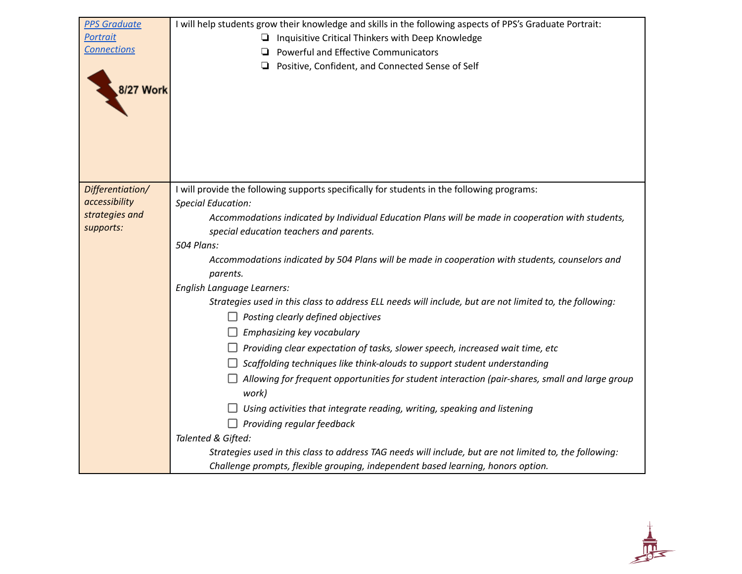| <b>PPS Graduate</b>               | I will help students grow their knowledge and skills in the following aspects of PPS's Graduate Portrait:               |
|-----------------------------------|-------------------------------------------------------------------------------------------------------------------------|
| Portrait                          | Inquisitive Critical Thinkers with Deep Knowledge<br>u.                                                                 |
| <b>Connections</b>                | Powerful and Effective Communicators<br>◘                                                                               |
|                                   | Positive, Confident, and Connected Sense of Self<br>❏                                                                   |
|                                   |                                                                                                                         |
| 8/27 Work                         |                                                                                                                         |
|                                   |                                                                                                                         |
|                                   |                                                                                                                         |
|                                   |                                                                                                                         |
|                                   |                                                                                                                         |
|                                   |                                                                                                                         |
|                                   |                                                                                                                         |
| Differentiation/<br>accessibility | I will provide the following supports specifically for students in the following programs:<br><b>Special Education:</b> |
| strategies and                    | Accommodations indicated by Individual Education Plans will be made in cooperation with students,                       |
| supports:                         | special education teachers and parents.                                                                                 |
|                                   | 504 Plans:                                                                                                              |
|                                   | Accommodations indicated by 504 Plans will be made in cooperation with students, counselors and                         |
|                                   | parents.                                                                                                                |
|                                   | English Language Learners:                                                                                              |
|                                   | Strategies used in this class to address ELL needs will include, but are not limited to, the following:                 |
|                                   | $\Box$ Posting clearly defined objectives                                                                               |
|                                   | Emphasizing key vocabulary                                                                                              |
|                                   | Providing clear expectation of tasks, slower speech, increased wait time, etc                                           |
|                                   | Scaffolding techniques like think-alouds to support student understanding                                               |
|                                   | Allowing for frequent opportunities for student interaction (pair-shares, small and large group                         |
|                                   | work)                                                                                                                   |
|                                   | Using activities that integrate reading, writing, speaking and listening                                                |
|                                   | $\Box$ Providing regular feedback                                                                                       |
|                                   | Talented & Gifted:                                                                                                      |
|                                   | Strategies used in this class to address TAG needs will include, but are not limited to, the following:                 |
|                                   | Challenge prompts, flexible grouping, independent based learning, honors option.                                        |

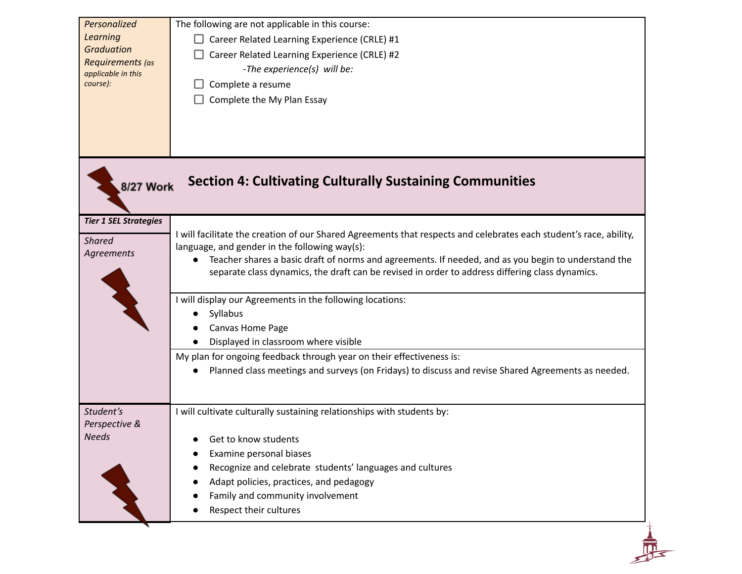| Personalized<br><b>Learning</b><br><b>Graduation</b><br>Requirements (as<br>applicable in this<br>course): | The following are not applicable in this course:<br>Career Related Learning Experience (CRLE) #1<br>Career Related Learning Experience (CRLE) #2<br>-The experience(s) will be:<br>Complete a resume<br>Complete the My Plan Essay                                                                                                                                                                                                                                                                                              |
|------------------------------------------------------------------------------------------------------------|---------------------------------------------------------------------------------------------------------------------------------------------------------------------------------------------------------------------------------------------------------------------------------------------------------------------------------------------------------------------------------------------------------------------------------------------------------------------------------------------------------------------------------|
| 8/27 Work                                                                                                  | <b>Section 4: Cultivating Culturally Sustaining Communities</b>                                                                                                                                                                                                                                                                                                                                                                                                                                                                 |
| <b>Tier 1 SEL Strategies</b><br><b>Shared</b><br>Agreements                                                | I will facilitate the creation of our Shared Agreements that respects and celebrates each student's race, ability,<br>language, and gender in the following way(s):<br>Teacher shares a basic draft of norms and agreements. If needed, and as you begin to understand the<br>$\bullet$<br>separate class dynamics, the draft can be revised in order to address differing class dynamics.<br>I will display our Agreements in the following locations:<br>Syllabus<br>Canvas Home Page<br>Displayed in classroom where visible |
|                                                                                                            | My plan for ongoing feedback through year on their effectiveness is:<br>Planned class meetings and surveys (on Fridays) to discuss and revise Shared Agreements as needed.                                                                                                                                                                                                                                                                                                                                                      |
| Student's<br>Perspective &<br><b>Needs</b>                                                                 | I will cultivate culturally sustaining relationships with students by:<br>Get to know students<br>Examine personal biases<br>Recognize and celebrate students' languages and cultures<br>Adapt policies, practices, and pedagogy<br>Family and community involvement<br>Respect their cultures                                                                                                                                                                                                                                  |
|                                                                                                            |                                                                                                                                                                                                                                                                                                                                                                                                                                                                                                                                 |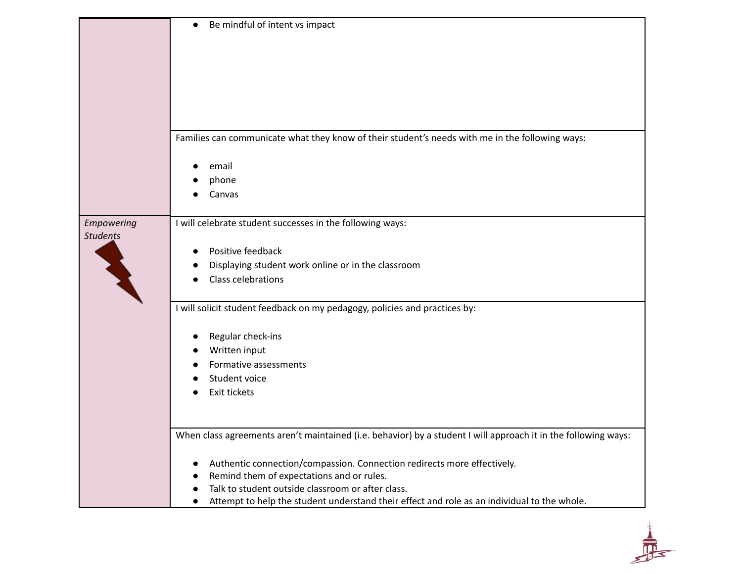|                 | Be mindful of intent vs impact<br>$\bullet$                                                                    |
|-----------------|----------------------------------------------------------------------------------------------------------------|
|                 |                                                                                                                |
|                 |                                                                                                                |
|                 |                                                                                                                |
|                 |                                                                                                                |
|                 |                                                                                                                |
|                 |                                                                                                                |
|                 | Families can communicate what they know of their student's needs with me in the following ways:                |
|                 | email                                                                                                          |
|                 | phone                                                                                                          |
|                 | Canvas                                                                                                         |
| Empowering      | I will celebrate student successes in the following ways:                                                      |
| <b>Students</b> |                                                                                                                |
|                 | Positive feedback                                                                                              |
|                 | Displaying student work online or in the classroom<br>$\bullet$                                                |
|                 | Class celebrations                                                                                             |
|                 | I will solicit student feedback on my pedagogy, policies and practices by:                                     |
|                 | Regular check-ins                                                                                              |
|                 | Written input                                                                                                  |
|                 | Formative assessments                                                                                          |
|                 | Student voice                                                                                                  |
|                 | Exit tickets                                                                                                   |
|                 |                                                                                                                |
|                 | When class agreements aren't maintained (i.e. behavior) by a student I will approach it in the following ways: |
|                 | Authentic connection/compassion. Connection redirects more effectively.<br>$\bullet$                           |
|                 | Remind them of expectations and or rules.                                                                      |
|                 | Talk to student outside classroom or after class.                                                              |
|                 | Attempt to help the student understand their effect and role as an individual to the whole.                    |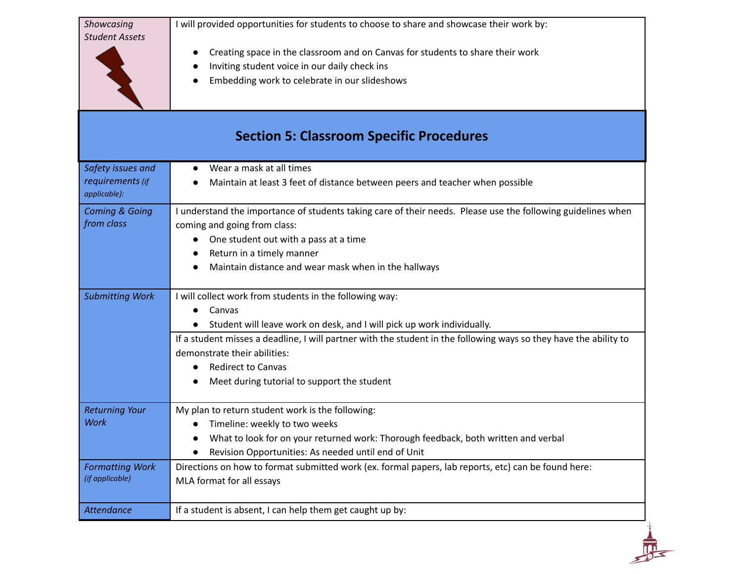| Showcasing<br><b>Student Assets</b>                   | I will provided opportunities for students to choose to share and showcase their work by:<br>Creating space in the classroom and on Canvas for students to share their work<br>Inviting student voice in our daily check ins<br>Embedding work to celebrate in our slideshows                                                                                                             |
|-------------------------------------------------------|-------------------------------------------------------------------------------------------------------------------------------------------------------------------------------------------------------------------------------------------------------------------------------------------------------------------------------------------------------------------------------------------|
| <b>Section 5: Classroom Specific Procedures</b>       |                                                                                                                                                                                                                                                                                                                                                                                           |
| Safety issues and<br>requirements (if<br>applicable): | Wear a mask at all times<br>Maintain at least 3 feet of distance between peers and teacher when possible                                                                                                                                                                                                                                                                                  |
| <b>Coming &amp; Going</b><br>from class               | I understand the importance of students taking care of their needs. Please use the following guidelines when<br>coming and going from class:<br>One student out with a pass at a time<br>Return in a timely manner<br>Maintain distance and wear mask when in the hallways                                                                                                                |
| <b>Submitting Work</b>                                | I will collect work from students in the following way:<br>Canvas<br>Student will leave work on desk, and I will pick up work individually.<br>If a student misses a deadline, I will partner with the student in the following ways so they have the ability to<br>demonstrate their abilities:<br><b>Redirect to Canvas</b><br>$\bullet$<br>Meet during tutorial to support the student |
| <b>Returning Your</b><br><b>Work</b>                  | My plan to return student work is the following:<br>Timeline: weekly to two weeks<br>What to look for on your returned work: Thorough feedback, both written and verbal<br>Revision Opportunities: As needed until end of Unit                                                                                                                                                            |
| <b>Formatting Work</b><br>(if applicable)             | Directions on how to format submitted work (ex. formal papers, lab reports, etc) can be found here:<br>MLA format for all essays                                                                                                                                                                                                                                                          |
| Attendance                                            | If a student is absent, I can help them get caught up by:                                                                                                                                                                                                                                                                                                                                 |

 $\frac{1}{\sqrt{2}}$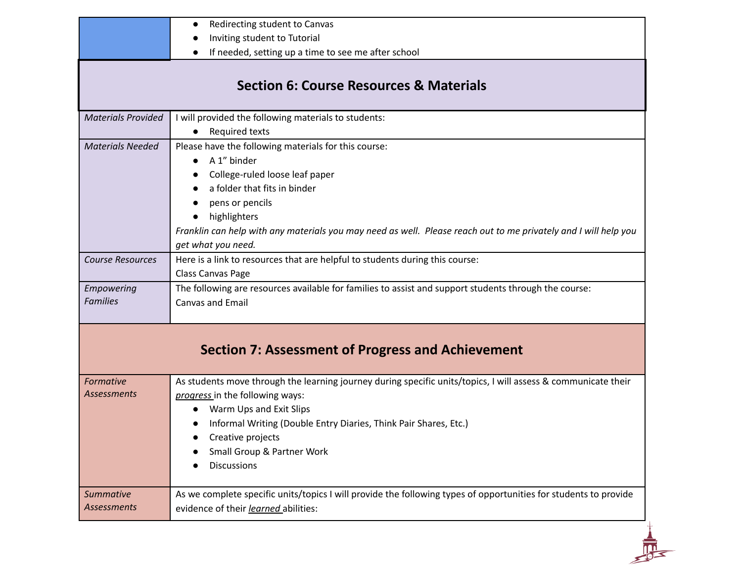|                                 | <b>Section 6: Course Resources &amp; Materials</b>                                                                                                                                                                                                                                                                |
|---------------------------------|-------------------------------------------------------------------------------------------------------------------------------------------------------------------------------------------------------------------------------------------------------------------------------------------------------------------|
| <b>Materials Provided</b>       | I will provided the following materials to students:<br><b>Required texts</b>                                                                                                                                                                                                                                     |
| <b>Materials Needed</b>         | Please have the following materials for this course:<br>A 1" binder<br>College-ruled loose leaf paper<br>a folder that fits in binder<br>pens or pencils<br>highlighters<br>Franklin can help with any materials you may need as well. Please reach out to me privately and I will help you<br>get what you need. |
| <b>Course Resources</b>         | Here is a link to resources that are helpful to students during this course:<br>Class Canvas Page                                                                                                                                                                                                                 |
| Empowering<br><b>Families</b>   | The following are resources available for families to assist and support students through the course:<br>Canvas and Email                                                                                                                                                                                         |
|                                 | <b>Section 7: Assessment of Progress and Achievement</b>                                                                                                                                                                                                                                                          |
| Formative<br><b>Assessments</b> | As students move through the learning journey during specific units/topics, I will assess & communicate their<br>progress in the following ways:<br>Warm Ups and Exit Slips<br>Informal Writing (Double Entry Diaries, Think Pair Shares, Etc.)<br>Creative projects<br>Small Group & Partner Work                |
|                                 | <b>Discussions</b>                                                                                                                                                                                                                                                                                                |